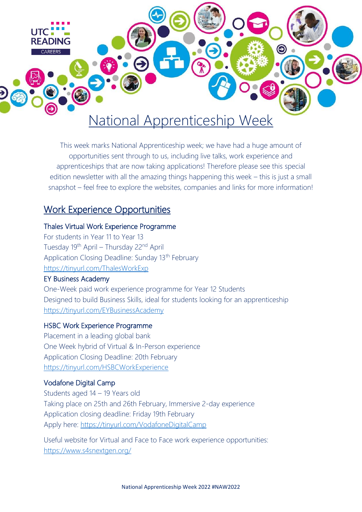

This week marks National Apprenticeship week; we have had a huge amount of opportunities sent through to us, including live talks, work experience and apprenticeships that are now taking applications! Therefore please see this special edition newsletter with all the amazing things happening this week – this is just a small snapshot – feel free to explore the websites, companies and links for more information!

## Work Experience Opportunities

#### Thales Virtual Work Experience Programme

For students in Year 11 to Year 13 Tuesday 19<sup>th</sup> April – Thursday 22<sup>nd</sup> April Application Closing Deadline: Sunday 13<sup>th</sup> February <https://tinyurl.com/ThalesWorkExp>

#### EY Business Academy

One-Week paid work experience programme for Year 12 Students Designed to build Business Skills, ideal for students looking for an apprenticeship <https://tinyurl.com/EYBusinessAcademy>

#### HSBC Work Experience Programme

Placement in a leading global bank One Week hybrid of Virtual & In-Person experience Application Closing Deadline: 20th February <https://tinyurl.com/HSBCWorkExperience>

#### Vodafone Digital Camp

Students aged 14 – 19 Years old Taking place on 25th and 26th February, Immersive 2-day experience Application closing deadline: Friday 19th February Apply here:<https://tinyurl.com/VodafoneDigitalCamp>

Useful website for Virtual and Face to Face work experience opportunities: <https://www.s4snextgen.org/>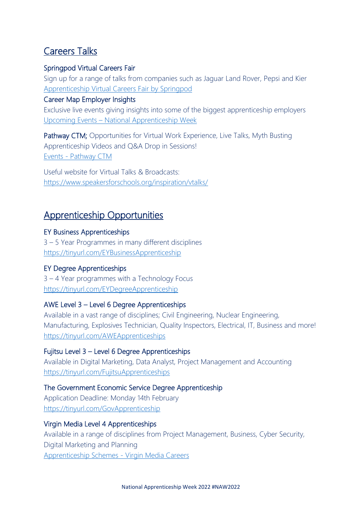# Careers Talks

### Springpod Virtual Careers Fair

Sign up for a range of talks from companies such as Jaguar Land Rover, Pepsi and Kier [Apprenticeship Virtual Careers Fair by Springpod](https://apprenticeships.springpod.co.uk/?utm_source=campus&utm_medium=email&utm_campaign=apprenticeships&utm_term=apprenticeships_vacf&utm_content=apprenticeships_vacf_cc_1feb22)

### Career Map Employer Insights

Exclusive live events giving insights into some of the biggest apprenticeship employers Upcoming Events – [National Apprenticeship Week](https://www.nationalapprenticeshipweek.co.uk/events/list/?utm_source=Careermap+email&utm_medium=generic&utm_campaign=NAW2022)

Pathway CTM; Opportunities for Virtual Work Experience, Live Talks, Myth Busting Apprenticeship Videos and Q&A Drop in Sessions! Events - [Pathway CTM](https://pathwayctm.com/events/)

Useful website for Virtual Talks & Broadcasts: <https://www.speakersforschools.org/inspiration/vtalks/>

# Apprenticeship Opportunities

### EY Business Apprenticeships

3 – 5 Year Programmes in many different disciplines <https://tinyurl.com/EYBusinessApprenticeship>

## EY Degree Apprenticeships

3 – 4 Year programmes with a Technology Focus <https://tinyurl.com/EYDegreeApprenticeship>

## AWE Level 3 – Level 6 Degree Apprenticeships

Available in a vast range of disciplines; Civil Engineering, Nuclear Engineering, Manufacturing, Explosives Technician, Quality Inspectors, Electrical, IT, Business and more! <https://tinyurl.com/AWEApprenticeships>

## Fujitsu Level 3 – Level 6 Degree Apprenticeships

Available in Digital Marketing, Data Analyst, Project Management and Accounting <https://tinyurl.com/FujitsuApprenticeships>

## The Government Economic Service Degree Apprenticeship

Application Deadline: Monday 14th February <https://tinyurl.com/GovApprenticeship>

### Virgin Media Level 4 Apprenticeships

Available in a range of disciplines from Project Management, Business, Cyber Security, Digital Marketing and Planning [Apprenticeship Schemes -](https://careers.virginmedia.com/future-careers/apprenticeships/apprenticeship-schemes/) Virgin Media Careers